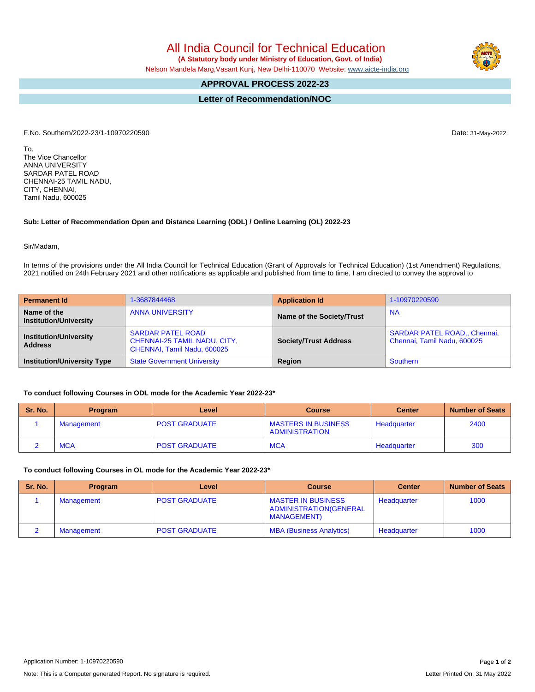All India Council for Technical Education  **(A Statutory body under Ministry of Education, Govt. of India)**

Nelson Mandela Marg,Vasant Kunj, New Delhi-110070 Website: [www.aicte-india.org](http://www.aicte-india.org)

## **APPROVAL PROCESS 2022-23**

**Letter of Recommendation/NOC**

F.No. Southern/2022-23/1-10970220590 Date: 31-May-2022

To, The Vice Chancellor ANNA UNIVERSITY SARDAR PATEL ROAD CHENNAI-25 TAMIL NADU, CITY, CHENNAI, Tamil Nadu, 600025

## **Sub: Letter of Recommendation Open and Distance Learning (ODL) / Online Learning (OL) 2022-23**

Sir/Madam,

In terms of the provisions under the All India Council for Technical Education (Grant of Approvals for Technical Education) (1st Amendment) Regulations, 2021 notified on 24th February 2021 and other notifications as applicable and published from time to time, I am directed to convey the approval to

| <b>Permanent Id</b>                             | 1-3687844468                                                                            | <b>Application Id</b>        | 1-10970220590                                                      |  |
|-------------------------------------------------|-----------------------------------------------------------------------------------------|------------------------------|--------------------------------------------------------------------|--|
| Name of the<br><b>Institution/University</b>    | <b>ANNA UNIVERSITY</b>                                                                  | Name of the Society/Trust    | <b>NA</b>                                                          |  |
| <b>Institution/University</b><br><b>Address</b> | <b>SARDAR PATEL ROAD</b><br>CHENNAI-25 TAMIL NADU, CITY,<br>CHENNAI, Tamil Nadu, 600025 | <b>Society/Trust Address</b> | <b>SARDAR PATEL ROAD., Chennai,</b><br>Chennai, Tamil Nadu, 600025 |  |
| <b>Institution/University Type</b>              | <b>State Government University</b>                                                      | Region                       | Southern                                                           |  |

## **To conduct following Courses in ODL mode for the Academic Year 2022-23\***

| Sr. No. | <b>Program</b> | Level                | <b>Course</b>                                       | <b>Center</b> | <b>Number of Seats</b> |
|---------|----------------|----------------------|-----------------------------------------------------|---------------|------------------------|
|         | Management     | <b>POST GRADUATE</b> | <b>MASTERS IN BUSINESS</b><br><b>ADMINISTRATION</b> | Headquarter   | 2400                   |
|         | MCA            | <b>POST GRADUATE</b> | <b>MCA</b>                                          | Headquarter   | 300                    |

**To conduct following Courses in OL mode for the Academic Year 2022-23\***

| Sr. No. | <b>Program</b> | Level                | <b>Course</b>                                                              | <b>Center</b> | <b>Number of Seats</b> |
|---------|----------------|----------------------|----------------------------------------------------------------------------|---------------|------------------------|
|         | Management     | <b>POST GRADUATE</b> | <b>MASTER IN BUSINESS</b><br>ADMINISTRATION(GENERAL<br><b>MANAGEMENT</b> ) | Headquarter   | 1000                   |
|         | Management     | <b>POST GRADUATE</b> | <b>MBA (Business Analytics)</b>                                            | Headquarter   | 1000                   |